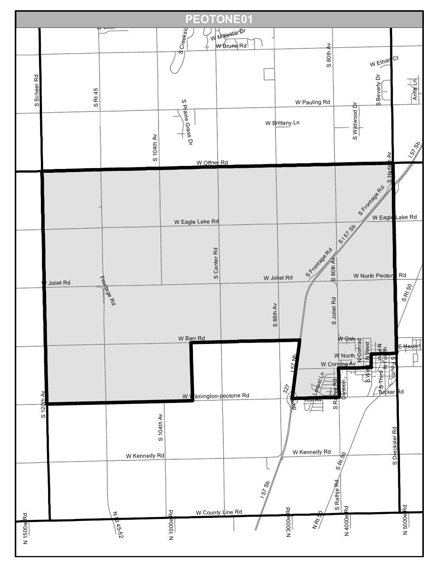